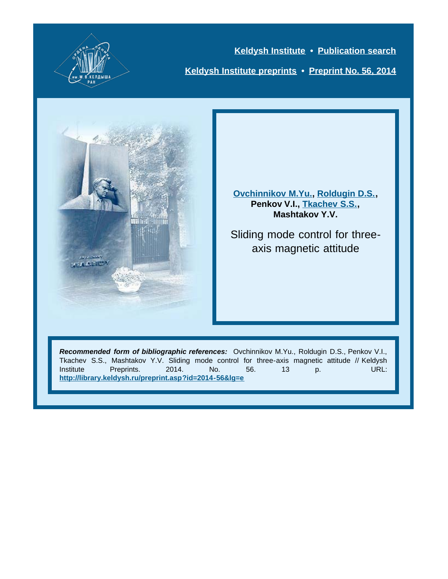

**[Keldysh Institute](http://keldysh.ru/index.en.shtml) • [Publication search](http://library.keldysh.ru/prep_qf.asp?lg=e) [Keldysh Institute preprints](http://library.keldysh.ru/preprints/default.asp?lg=e) • [Preprint No. 56, 2014](http://library.keldysh.ru/preprint.asp?id=2014-56&lg=e)**



**[Ovchinnikov M.Yu.](http://library.keldysh.ru/author_page.asp?aid=1097&lg=e), [Roldugin D.S.,](http://library.keldysh.ru/author_page.asp?aid=3498&lg=e) Penkov V.I., [Tkachev S.S.,](http://library.keldysh.ru/author_page.asp?aid=3364&lg=e) Mashtakov Y.V.**

Sliding mode control for threeaxis magnetic attitude

*Recommended form of bibliographic references:* Ovchinnikov M.Yu., Roldugin D.S., Penkov V.I., Tkachev S.S., Mashtakov Y.V. Sliding mode control for three-axis magnetic attitude // Keldysh Institute Preprints. 2014. No. 56. 13 p. URL: **<http://library.keldysh.ru/preprint.asp?id=2014-56&lg=e>**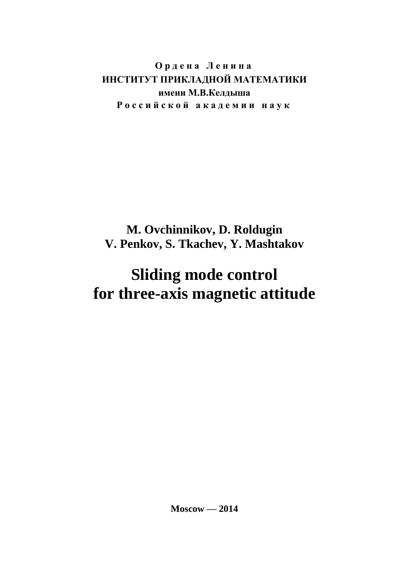**О р д е н а Л е н и н а ИНСТИТУТ ПРИКЛАДНОЙ МАТЕМАТИКИ имени М.В.Келдыша Р о с с и й с к о й а к а д е м и и н а у к**

# **M. Ovchinnikov, D. Roldugin V. Penkov, S. Tkachev, Y. Mashtakov**

# **Sliding mode control for three-axis magnetic attitude**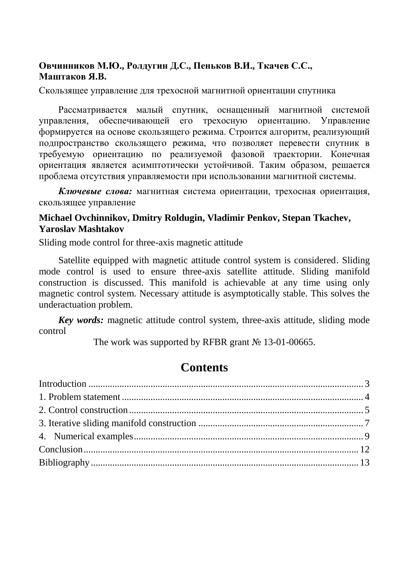#### **Овчинников М.Ю., Ролдугин Д.С., Пеньков В.И., Ткачев С.С., Маштаков Я.В.**

Скользящее управление для трехосной магнитной ориентации спутника

Рассматривается малый спутник, оснащенный магнитной системой управления, обеспечивающей его трехосную ориентацию. Управление формируется на основе скользящего режима. Строится алгоритм, реализующий подпространство скользящего режима, что позволяет перевести спутник в требуемую ориентацию по реализуемой фазовой траектории. Конечная ориентация является асимптотически устойчивой. Таким образом, решается проблема отсутствия управляемости при использовании магнитной системы.

*Ключевые слова:* магнитная система ориентации, трехосная ориентация, скользящее управление

#### **Michael Ovchinnikov, Dmitry Roldugin, Vladimir Penkov, Stepan Tkachev, Yaroslav Mashtakov**

Sliding mode control for three-axis magnetic attitude

Satellite equipped with magnetic attitude control system is considered. Sliding mode control is used to ensure three-axis satellite attitude. Sliding manifold construction is discussed. This manifold is achievable at any time using only magnetic control system. Necessary attitude is asymptotically stable. This solves the underactuation problem.

*Key words:* magnetic attitude control system, three-axis attitude, sliding mode control

The work was supported by RFBR grant № 13-01-00665.

## **Contents**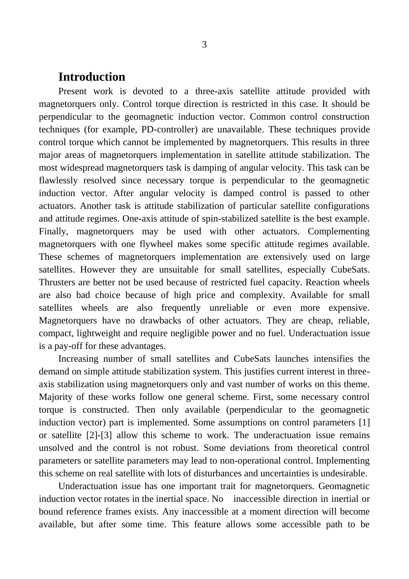#### <span id="page-3-0"></span>**Introduction**

Present work is devoted to a three-axis satellite attitude provided with magnetorquers only. Control torque direction is restricted in this case. It should be perpendicular to the geomagnetic induction vector. Common control construction techniques (for example, PD-controller) are unavailable. These techniques provide control torque which cannot be implemented by magnetorquers. This results in three major areas of magnetorquers implementation in satellite attitude stabilization. The most widespread magnetorquers task is damping of angular velocity. This task can be flawlessly resolved since necessary torque is perpendicular to the geomagnetic induction vector. After angular velocity is damped control is passed to other actuators. Another task is attitude stabilization of particular satellite configurations and attitude regimes. One-axis attitude of spin-stabilized satellite is the best example. Finally, magnetorquers may be used with other actuators. Complementing magnetorquers with one flywheel makes some specific attitude regimes available. These schemes of magnetorquers implementation are extensively used on large satellites. However they are unsuitable for small satellites, especially CubeSats. Thrusters are better not be used because of restricted fuel capacity. Reaction wheels are also bad choice because of high price and complexity. Available for small satellites wheels are also frequently unreliable or even more expensive. Magnetorquers have no drawbacks of other actuators. They are cheap, reliable, compact, lightweight and require negligible power and no fuel. Underactuation issue is a pay-off for these advantages.

Increasing number of small satellites and CubeSats launches intensifies the demand on simple attitude stabilization system. This justifies current interest in threeaxis stabilization using magnetorquers only and vast number of works on this theme. Majority of these works follow one general scheme. First, some necessary control torque is constructed. Then only available (perpendicular to the geomagnetic induction vector) part is implemented. Some assumptions on control parameters [1] or satellite [2]-[3] allow this scheme to work. The underactuation issue remains unsolved and the control is not robust. Some deviations from theoretical control parameters or satellite parameters may lead to non-operational control. Implementing this scheme on real satellite with lots of disturbances and uncertainties is undesirable.

Underactuation issue has one important trait for magnetorquers. Geomagnetic induction vector rotates in the inertial space. No inaccessible direction in inertial or bound reference frames exists. Any inaccessible at a moment direction will become available, but after some time. This feature allows some accessible path to be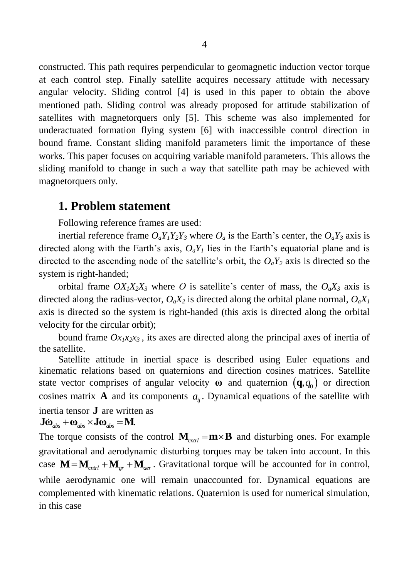constructed. This path requires perpendicular to geomagnetic induction vector torque at each control step. Finally satellite acquires necessary attitude with necessary angular velocity. Sliding control [4] is used in this paper to obtain the above mentioned path. Sliding control was already proposed for attitude stabilization of satellites with magnetorquers only [5]. This scheme was also implemented for underactuated formation flying system [6] with inaccessible control direction in bound frame. Constant sliding manifold parameters limit the importance of these works. This paper focuses on acquiring variable manifold parameters. This allows the sliding manifold to change in such a way that satellite path may be achieved with magnetorquers only.

#### <span id="page-4-0"></span>**1. Problem statement**

Following reference frames are used:

inertial reference frame  $O_aY_1Y_2Y_3$  where  $O_a$  is the Earth's center, the  $O_aY_3$  axis is directed along with the Earth's axis,  $O_aY_I$  lies in the Earth's equatorial plane and is directed to the ascending node of the satellite's orbit, the  $O_aY_2$  axis is directed so the system is right-handed;

orbital frame  $OX_1X_2X_3$  where O is satellite's center of mass, the  $O_aX_3$  axis is directed along the radius-vector,  $O_aX_2$  is directed along the orbital plane normal,  $O_aX_1$ axis is directed so the system is right-handed (this axis is directed along the orbital velocity for the circular orbit);

bound frame  $Ox_1x_2x_3$ , its axes are directed along the principal axes of inertia of the satellite.

Satellite attitude in inertial space is described using Euler equations and kinematic relations based on quaternions and direction cosines matrices. Satellite state vector comprises of angular velocity  $\boldsymbol{\omega}$  and quaternion  $(\boldsymbol{q}, q_0)$  or direction cosines matrix **A** and its components  $a_{ij}$ . Dynamical equations of the satellite with inertia tensor **J** are written as

### $J\ddot{\omega}_{\text{abs}} + \omega_{\text{abs}} \times J\omega_{\text{abs}} = M.$

The torque consists of the control  $M_{\text{curl}} = m \times B$  and disturbing ones. For example gravitational and aerodynamic disturbing torques may be taken into account. In this gravitational and aerodynamic disturbing torques may be taken into account. In this case  $M = M_{\text{cntrl}} + M_{\text{gr}} + M_{\text{aer}}$ . Gravitational torque will be accounted for in control, while aerodynamic one will remain unaccounted for. Dynamical equations are complemented with kinematic relations. Quaternion is used for numerical simulation, in this case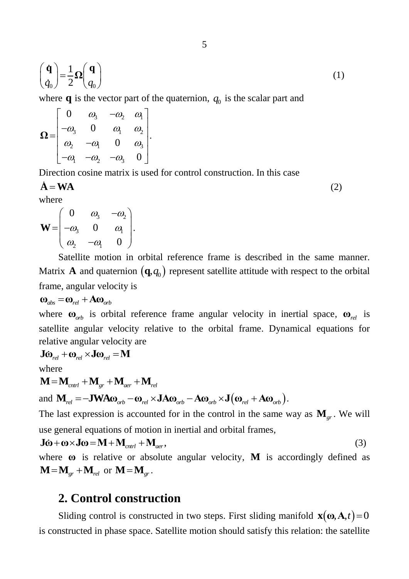$$
\begin{pmatrix} \dot{\mathbf{q}} \\ \dot{q}_0 \end{pmatrix} = \frac{1}{2} \Omega \begin{pmatrix} \mathbf{q} \\ q_0 \end{pmatrix} \tag{1}
$$

where **q** is the vector part of the quaternion,  $q_0$  is the scalar part and  $\begin{bmatrix} 0 & \omega_3 & -\omega_2 & \omega_1 \end{bmatrix}$ 

$$
\Omega = \begin{bmatrix} 0 & \omega_3 & -\omega_2 & \omega_1 \\ -\omega_3 & 0 & \omega_1 & \omega_2 \\ \omega_2 & -\omega_1 & 0 & \omega_3 \\ -\omega_1 & -\omega_2 & -\omega_3 & 0 \end{bmatrix}.
$$

Direction cosine matrix is used for control construction. In this case

$$
\dot{\mathbf{A}} = \mathbf{W} \mathbf{A}
$$

(2)

where 
$$
\overline{}
$$

$$
\mathbf{W} = \begin{pmatrix} 0 & \omega_3 & -\omega_2 \\ -\omega_3 & 0 & \omega_1 \\ \omega_2 & -\omega_1 & 0 \end{pmatrix}.
$$

Satellite motion in orbital reference frame is described in the same manner. Matrix **A** and quaternion  $(\mathbf{q}, q_0)$  represent satellite attitude with respect to the orbital frame, angular velocity is

$$
\mathbf{\omega}_{\text{abs}} = \mathbf{\omega}_{\text{rel}} + \mathbf{A}\mathbf{\omega}_{\text{orb}}
$$

where **ω**<sub>*orb*</sub> is orbital reference frame angular velocity in inertial space, **ω**<sub>*rel*</sub> is satellite angular velocity relative to the orbital frame. Dynamical equations for relative angular velocity are<br>  $\mathbf{J}\dot{\mathbf{\omega}}_{rel} + \mathbf{\omega}_{rel} \times \mathbf{J}\mathbf{\omega}_{rel} = \mathbf{M}$ 

$$
\mathbf{J}\dot{\mathbf{\omega}}_{rel} + \mathbf{\omega}_{rel} \times \mathbf{J}\mathbf{\omega}_{rel} = \mathbf{M}
$$

where

where  

$$
\mathbf{M} = \mathbf{M}_{\text{cntrl}} + \mathbf{M}_{\text{gr}} + \mathbf{M}_{\text{aer}} + \mathbf{M}_{\text{rel}}
$$

and  $\begin{aligned} \mathbf{M}_{cnrt}^{\text{max}} + \mathbf{M}_{gr}^{\text{max}} + \mathbf{M}_{ner}^{\text{max}} + \mathbf{M}_{rel}^{\text{max}} \ \mathbf{M}_{rel}^{\text{max}} = -\mathbf{J} \mathbf{W} \mathbf{A} \mathbf{\omega}_{orb} - \mathbf{\omega}_{rel} \times \mathbf{J} \mathbf{A} \mathbf{\omega}_{orb} - \mathbf{A} \mathbf{\omega}_{orb} \times \mathbf{J} \big( \mathbf{\omega}_{rel} + \mathbf{A} \mathbf{\omega}_{orb} \big). \end{aligned}$ 

The last expression is accounted for in the control in the same way as  $\mathbf{M}_{gr}$ . We will

use general equations of motion in inertial and orbital frames,  
\n
$$
\mathbf{J}\dot{\mathbf{\omega}} + \mathbf{\omega} \times \mathbf{J}\mathbf{\omega} = \mathbf{M} + \mathbf{M}_{\text{cntrl}} + \mathbf{M}_{\text{aer}},
$$
\n(3)

where **ω** is relative or absolute angular velocity, **M** is accordingly defined as  $\mathbf{M} = \mathbf{M}_{gr} + \mathbf{M}_{rel}$  or  $\mathbf{M} = \mathbf{M}_{gr}$ .

## <span id="page-5-0"></span>**2. Control construction**

Sliding control is constructed in two steps. First sliding manifold  $\mathbf{x}(\mathbf{\omega}, \mathbf{A}, t) = 0$ is constructed in phase space. Satellite motion should satisfy this relation: the satellite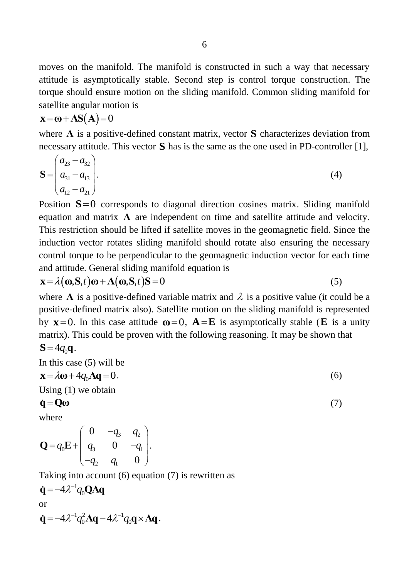moves on the manifold. The manifold is constructed in such a way that necessary attitude is asymptotically stable. Second step is control torque construction. The torque should ensure motion on the sliding manifold. Common sliding manifold for satellite angular motion is

$$
\mathbf{x} = \mathbf{\omega} + \mathbf{\Lambda} \mathbf{S}(\mathbf{A}) = 0
$$

where **Λ** is a positive-defined constant matrix, vector **S** characterizes deviation from necessary attitude. This vector **S** has is the same as the one used in PD-controller [1],

$$
\mathbf{S} = \begin{pmatrix} a_{23} - a_{32} \\ a_{31} - a_{13} \\ a_{12} - a_{21} \end{pmatrix} . \tag{4}
$$

Position  $S=0$  corresponds to diagonal direction cosines matrix. Sliding manifold equation and matrix  $\Lambda$  are independent on time and satellite attitude and velocity. This restriction should be lifted if satellite moves in the geomagnetic field. Since the induction vector rotates sliding manifold should rotate also ensuring the necessary control torque to be perpendicular to the geomagnetic induction vector for each time

and attitude. General sliding manifold equation is  
\n
$$
\mathbf{x} = \lambda(\mathbf{\omega}, \mathbf{S}, t)\mathbf{\omega} + \Lambda(\mathbf{\omega}, \mathbf{S}, t)\mathbf{S} = 0
$$
\n(5)

where  $\Lambda$  is a positive-defined variable matrix and  $\lambda$  is a positive value (it could be a positive-defined matrix also). Satellite motion on the sliding manifold is represented by  $x=0$ . In this case attitude  $\omega=0$ ,  $A=E$  is asymptotically stable (**E** is a unity matrix). This could be proven with the following reasoning. It may be shown that  $S = 4q_0 q$ .

(7)

In this case 
$$
(5)
$$
 will be

$$
\mathbf{x} = \lambda \mathbf{\omega} + 4q_0 \mathbf{\Lambda} \mathbf{q} = 0. \tag{6}
$$

Using (1) we obtain

$$
\dot{\mathbf{q}} = \mathbf{Q}\boldsymbol{\omega}
$$

where

where  
\n
$$
Q = q_0 E + \begin{pmatrix} 0 & -q_3 & q_2 \\ q_3 & 0 & -q_1 \\ -q_2 & q_1 & 0 \end{pmatrix}.
$$

Taking into account (6) equation (7) is rewritten as

$$
\dot{\mathbf{q}} = -4\lambda^{-1} q_0 \mathbf{Q} \mathbf{\Lambda} \mathbf{q}
$$
  
or  

$$
\dot{\mathbf{q}} = -4\lambda^{-1} q_0^2 \mathbf{\Lambda} \mathbf{q} - 4\lambda^{-1} q_0 \mathbf{q} \times \mathbf{\Lambda} \mathbf{q}.
$$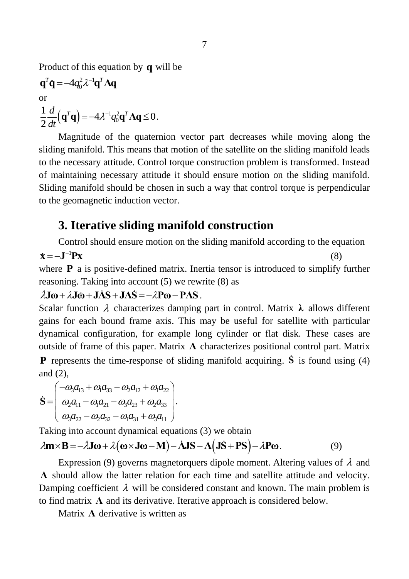Product of this equation by **q** will be

$$
\mathbf{q}^T \dot{\mathbf{q}} = -4q_0^2 \lambda^{-1} \mathbf{q}^T \Lambda \mathbf{q}
$$
  
or  

$$
\frac{1}{2} \frac{d}{dt} (\mathbf{q}^T \mathbf{q}) = -4\lambda^{-1} q_0^2 \mathbf{q}^T \Lambda \mathbf{q} \le 0.
$$

Magnitude of the quaternion vector part decreases while moving along the sliding manifold. This means that motion of the satellite on the sliding manifold leads to the necessary attitude. Control torque construction problem is transformed. Instead of maintaining necessary attitude it should ensure motion on the sliding manifold. Sliding manifold should be chosen in such a way that control torque is perpendicular to the geomagnetic induction vector.

## <span id="page-7-0"></span>**3. Iterative sliding manifold construction**

Control should ensure motion on the sliding manifold according to the equation  $\dot{\mathbf{x}} = -\mathbf{J}^{-1}\mathbf{P}\mathbf{x}$ (8) where **P** a is positive-defined matrix. Inertia tensor is introduced to simplify further reasoning. Taking into account (5) we rewrite (8) as reasoning. Taking into account (5) we rewrite<br> $\lambda \mathbf{J}\omega + \lambda \mathbf{J}\dot{\omega} + \mathbf{J}\dot{\Delta}\mathbf{S} + \mathbf{J}\Delta\dot{\mathbf{S}} = -\lambda \mathbf{P}\omega - \mathbf{P}\Delta\mathbf{S}$ .

Scalar function  $\lambda$  characterizes damping part in control. Matrix λ allows different gains for each bound frame axis. This may be useful for satellite with particular dynamical configuration, for example long cylinder or flat disk. These cases are outside of frame of this paper. Matrix **Λ** characterizes positional control part. Matrix **P** represents the time-response of sliding manifold acquiring. **S** is found using (4) and (2),

and (2),  
\n
$$
\mathbf{S} = \begin{pmatrix}\n-\omega_3 a_{13} + \omega_1 a_{33} - \omega_2 a_{12} + \omega_1 a_{22} \\
\omega_2 a_{11} - \omega_1 a_{21} - \omega_3 a_{23} + \omega_2 a_{33} \\
\omega_3 a_{22} - \omega_2 a_{32} - \omega_1 a_{31} + \omega_3 a_{11}\n\end{pmatrix}.
$$

Taking into account dynamical equations (3) we obtain

$$
\begin{pmatrix}\n\frac{2}{a_3 a_{22} - a_2 a_{32} - a_3 a_{31} + a_3 a_{11}}\n\end{pmatrix}
$$
\nTaking into account dynamical equations (3) we obtain\n
$$
\lambda \mathbf{m} \times \mathbf{B} = -\lambda \mathbf{J} \boldsymbol{\omega} + \lambda (\boldsymbol{\omega} \times \mathbf{J} \boldsymbol{\omega} - \mathbf{M}) - \lambda \mathbf{J} \mathbf{S} - \Lambda (\mathbf{J} \dot{\mathbf{S}} + \mathbf{P} \mathbf{S}) - \lambda \mathbf{P} \boldsymbol{\omega}.
$$
\n(9)

Expression (9) governs magnetorquers dipole moment. Altering values of  $\lambda$  and **Λ** should allow the latter relation for each time and satellite attitude and velocity. Damping coefficient  $\lambda$  will be considered constant and known. The main problem is to find matrix  $\Lambda$  and its derivative. Iterative approach is considered below.

Matrix  $\Lambda$  derivative is written as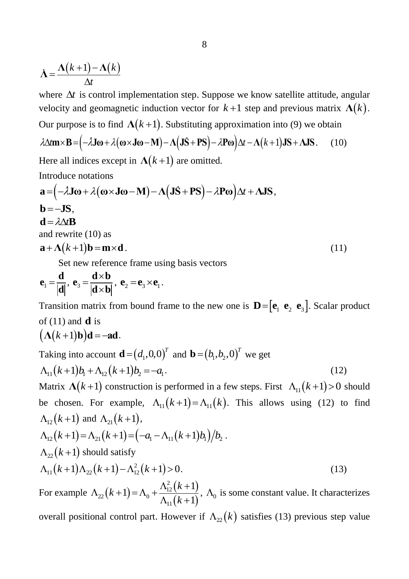$$
\dot{\Lambda} = \frac{\Lambda(k+1) - \Lambda(k)}{\Delta t}
$$

where  $\Delta t$  is control implementation step. Suppose we know satellite attitude, angular velocity and geomagnetic induction vector for  $k+1$  step and previous matrix  $\Lambda(k)$ . Our purpose is to find  $\Lambda(k+1)$ . Substituting approximation into (9) we obtain *velocity and geomagnetic induction vector for*  $k + 1$  step and previous matrix  $\Lambda(i)$ <br>*Our purpose is to find*  $\Lambda(k+1)$ . Substituting approximation into (9) we obtain<br> $\lambda \Delta m \times B = (-\lambda J \omega + \lambda (\omega \times J \omega - M) - \Lambda (J \dot{S} + PS) - \lambda P \omega) \Delta t -$ 

$$
\lambda \Delta m \times B = (-\lambda J \omega + \lambda (\omega \times J \omega - M) - \Lambda (J \dot{S} + PS) - \lambda P \omega) \Delta t - \Lambda (k+1) JS + \Lambda JS. \tag{10}
$$

Introduce notations

Here all indices except in 
$$
\Lambda(k+1)
$$
 are omitted.  
\nIntroduce notations  
\n $\mathbf{a} = (-\lambda \mathbf{J}\boldsymbol{\omega} + \lambda(\boldsymbol{\omega} \times \mathbf{J}\boldsymbol{\omega} - \mathbf{M}) - \Lambda(\mathbf{J}\dot{\mathbf{S}} + \mathbf{PS}) - \lambda \mathbf{P}\boldsymbol{\omega})\Delta t + \Lambda \mathbf{JS},$   
\n $\mathbf{b} = -\mathbf{JS},$   
\n $\mathbf{d} = \lambda \Delta t \mathbf{B}$   
\nand rewrite (10) as  
\n $\mathbf{a} + \Lambda(k+1)\mathbf{b} = \mathbf{m} \times \mathbf{d}.$  (11)

Set new reference frame using basis vectors

$$
\mathbf{e}_1 = \frac{\mathbf{d}}{|\mathbf{d}|}, \ \mathbf{e}_3 = \frac{\mathbf{d} \times \mathbf{b}}{|\mathbf{d} \times \mathbf{b}|}, \ \mathbf{e}_2 = \mathbf{e}_3 \times \mathbf{e}_1.
$$

Transition matrix from bound frame to the new one is  $\mathbf{D} = [\mathbf{e}_1 \ \mathbf{e}_2 \ \mathbf{e}_3]$ . Scalar product of  $(11)$  and **d** is

$$
(\Lambda(k+1)\mathbf{b})\mathbf{d} = -\mathbf{ad}.
$$

Taking into account 
$$
\mathbf{d} = (d_1, 0, 0)^T
$$
 and  $\mathbf{b} = (b_1, b_2, 0)^T$  we get  
\n
$$
\Lambda_{11}(k+1)b_1 + \Lambda_{12}(k+1)b_2 = -a_1.
$$
\n(12)

Matrix  $\Lambda(k+1)$  construction is performed in a few steps. First  $\Lambda_{11}(k+1) > 0$  should be chosen. For example,  $\Lambda_{11}(k+1) = \Lambda_{11}(k)$ . This allows using (12) to find  $\Lambda_{12}(k+1)$  and  $\Lambda_{21}(k+1)$ ,  $\Lambda_{12}(k+1)$  and  $\Lambda_{21}(k+1)$ ,<br>  $\Lambda_{12}(k+1) = \Lambda_{21}(k+1) = (-a_1 - \Lambda_{11}(k+1)b_1)/b_2$ .

$$
\Lambda_{12}(k+1) = \Lambda_{21}(k+1) = (-a_1 - \Lambda_{11}(k+1)b_1)/b_2.
$$
  
\n
$$
\Lambda_{22}(k+1) \text{ should satisfy}
$$
  
\n
$$
\Lambda_{11}(k+1)\Lambda_{22}(k+1) - \Lambda_{12}^2(k+1) > 0.
$$
\n(13)

For example  $\Lambda_{22}(k+1)$  $(k+1)$  $(k+1)$ 2  $\Lambda_{22}(k+1) = \Lambda_0 + \frac{\Lambda_{12}}{\Lambda}$ 11 1 1 1 *k k*  $A_{22}(k+1) = A_0 + \frac{A_{12}^2(k+1)}{A_{11}(k+1)},$  $\frac{\Lambda_{12}^2(k+1)}{\Lambda_{11}(k+1)}$ ,  $\Lambda_0$  is some constant value. It characterizes overall positional control part. However if  $\Lambda_{22}(k)$  satisfies (13) previous step value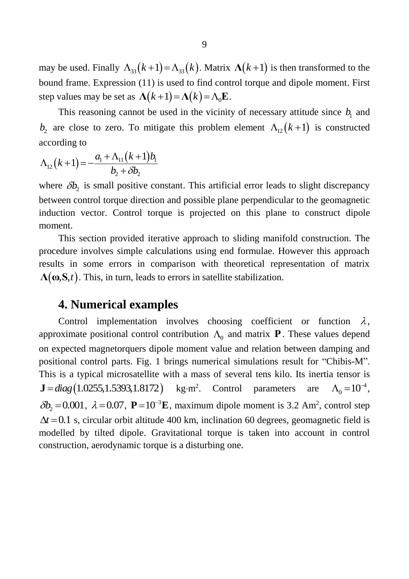may be used. Finally  $\Lambda_{33}(k+1) = \Lambda_{33}(k)$ . Matrix  $\Lambda(k+1)$  is then transformed to the bound frame. Expression (11) is used to find control torque and dipole moment. First bound rathe. Expression (11) is used to find control<br>step values may be set as  $\Lambda(k+1) = \Lambda(k) = \Lambda_0 \mathbf{E}$ .

This reasoning cannot be used in the vicinity of necessary attitude since  $b<sub>1</sub>$  and  $b_2$  are close to zero. To mitigate this problem element  $\Lambda_{12}(k+1)$  is constructed

according to  
\n
$$
\Lambda_{12}(k+1) = -\frac{a_1 + \Lambda_{11}(k+1)b_1}{b_2 + \delta b_2}
$$

where  $\delta b_2$  is small positive constant. This artificial error leads to slight discrepancy between control torque direction and possible plane perpendicular to the geomagnetic induction vector. Control torque is projected on this plane to construct dipole moment.

This section provided iterative approach to sliding manifold construction. The procedure involves simple calculations using end formulae. However this approach results in some errors in comparison with theoretical representation of matrix  $\Lambda(\omega, S, t)$ . This, in turn, leads to errors in satellite stabilization.

#### <span id="page-9-0"></span>**4. Numerical examples**

Control implementation involves choosing coefficient or function  $\lambda$ , approximate positional control contribution  $\Lambda_0$  and matrix **P**. These values depend on expected magnetorquers dipole moment value and relation between damping and positional control parts. Fig. 1 brings numerical simulations result for "Chibis-M". This is a typical microsatellite with a mass of several tens kilo. Its inertia tensor is  $J = diag(1.0255, 1.5393, 1.8172)$ kg·m<sup>2</sup>. Control parameters are  $\Lambda_0 = 10^{-4},$  $\delta b_2 = 0.001$ ,  $\lambda = 0.07$ ,  $P = 10^{-3}$ **E**, maximum dipole moment is 3.2 Am<sup>2</sup>, control step  $\Delta t = 0.1$  s, circular orbit altitude 400 km, inclination 60 degrees, geomagnetic field is modelled by tilted dipole. Gravitational torque is taken into account in control construction, aerodynamic torque is a disturbing one.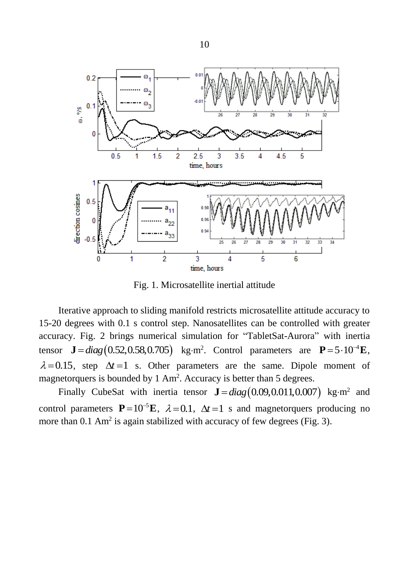

Fig. 1. Microsatellite inertial attitude

Iterative approach to sliding manifold restricts microsatellite attitude accuracy to 15-20 degrees with 0.1 s control step. Nanosatellites can be controlled with greater accuracy. Fig. 2 brings numerical simulation for "TabletSat-Aurora" with inertia tensor  $J = diag(0.52, 0.58, 0.705)$  kg·m<sup>2</sup>. Control parameters are  $P = 5 \cdot 10^{-4}$  E,  $\lambda = 0.15$ , step  $\Delta t = 1$  s. Other parameters are the same. Dipole moment of magnetorquers is bounded by  $1 \text{ Am}^2$ . Accuracy is better than 5 degrees.

Finally CubeSat with inertia tensor  $J = diag(0.09, 0.011, 0.007)$  kg·m<sup>2</sup> and control parameters  $P=10^{-5}E$ ,  $\lambda=0.1$ ,  $\Delta t=1$  s and magnetorquers producing no more than  $0.1 \text{ Am}^2$  is again stabilized with accuracy of few degrees (Fig. 3).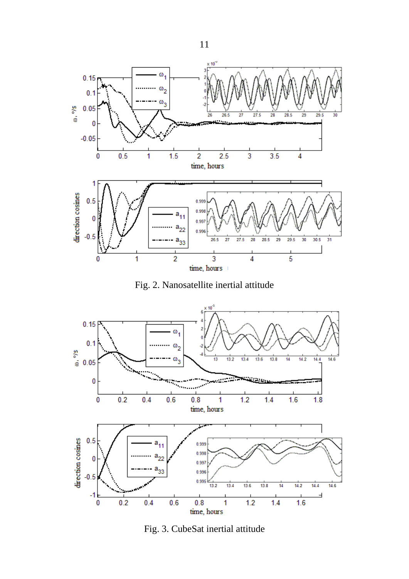

Fig. 2. Nanosatellite inertial attitude



Fig. 3. CubeSat inertial attitude

11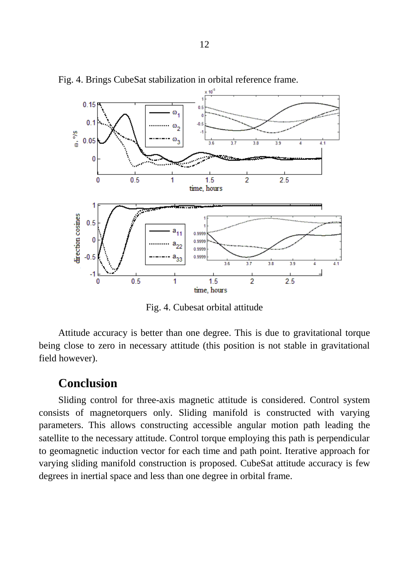

Fig. 4. Brings CubeSat stabilization in orbital reference frame.

Fig. 4. Cubesat orbital attitude

Attitude accuracy is better than one degree. This is due to gravitational torque being close to zero in necessary attitude (this position is not stable in gravitational field however).

#### <span id="page-12-0"></span>**Conclusion**

Sliding control for three-axis magnetic attitude is considered. Control system consists of magnetorquers only. Sliding manifold is constructed with varying parameters. This allows constructing accessible angular motion path leading the satellite to the necessary attitude. Control torque employing this path is perpendicular to geomagnetic induction vector for each time and path point. Iterative approach for varying sliding manifold construction is proposed. CubeSat attitude accuracy is few degrees in inertial space and less than one degree in orbital frame.